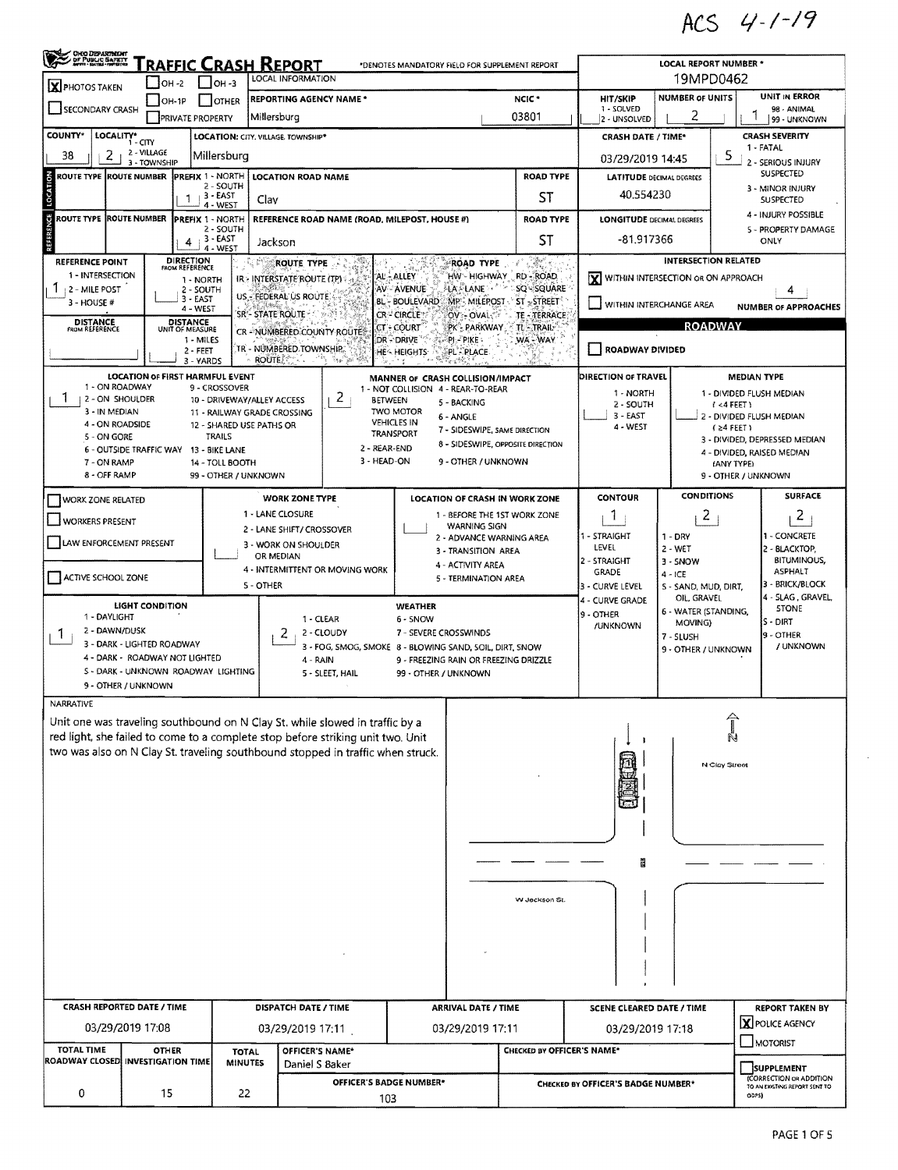ACS  $4 - (-19)$ 

| <b>CHIO DEPARTMENT</b><br>CDF PUBLIC BARKTY                                                                                                                                                                                                                                                                           |                                                                                                                                                                                                                                                    |                                                                                                                                                                                      | <u>RAFFIC CRASH REPORT</u>                                                                                                                                      |                                                    |                                                                                                                   |                                                                                                                                                                                                                                                                                                                                                                                                                                    | *DENOTES MANDATORY FIELD FOR SUPPLEMENT REPORT                                                                |                                              | LOCAL REPORT NUMBER *                                                                                                                                                                                          |                                                                         |  |  |
|-----------------------------------------------------------------------------------------------------------------------------------------------------------------------------------------------------------------------------------------------------------------------------------------------------------------------|----------------------------------------------------------------------------------------------------------------------------------------------------------------------------------------------------------------------------------------------------|--------------------------------------------------------------------------------------------------------------------------------------------------------------------------------------|-----------------------------------------------------------------------------------------------------------------------------------------------------------------|----------------------------------------------------|-------------------------------------------------------------------------------------------------------------------|------------------------------------------------------------------------------------------------------------------------------------------------------------------------------------------------------------------------------------------------------------------------------------------------------------------------------------------------------------------------------------------------------------------------------------|---------------------------------------------------------------------------------------------------------------|----------------------------------------------|----------------------------------------------------------------------------------------------------------------------------------------------------------------------------------------------------------------|-------------------------------------------------------------------------|--|--|
| $\mathbf{X}$ PHOTOS TAKEN                                                                                                                                                                                                                                                                                             | $\vert$ OH -2                                                                                                                                                                                                                                      | LOCAL INFORMATION<br>$IOH - 3$                                                                                                                                                       | 19MPD0462                                                                                                                                                       |                                                    |                                                                                                                   |                                                                                                                                                                                                                                                                                                                                                                                                                                    |                                                                                                               |                                              |                                                                                                                                                                                                                |                                                                         |  |  |
| REPORTING AGENCY NAME *<br>$OH-1P$<br>OTHER                                                                                                                                                                                                                                                                           |                                                                                                                                                                                                                                                    |                                                                                                                                                                                      |                                                                                                                                                                 |                                                    |                                                                                                                   |                                                                                                                                                                                                                                                                                                                                                                                                                                    | NCIC <sup>+</sup>                                                                                             | <b>HIT/SKIP</b><br>1 - SOLVED                | <b>NUMBER OF UNITS</b>                                                                                                                                                                                         | <b>UNIT IN ERROR</b>                                                    |  |  |
| SECONDARY CRASH<br>Millersburg<br><b>PRIVATE PROPERTY</b>                                                                                                                                                                                                                                                             |                                                                                                                                                                                                                                                    |                                                                                                                                                                                      |                                                                                                                                                                 |                                                    |                                                                                                                   | 03801                                                                                                                                                                                                                                                                                                                                                                                                                              |                                                                                                               |                                              | 2                                                                                                                                                                                                              | 98 - ANIMAL<br>99 - UNKNOWN                                             |  |  |
| COUNTY*<br>LOCALITY*                                                                                                                                                                                                                                                                                                  | 1 - CITY<br>2 - VILLAGE                                                                                                                                                                                                                            |                                                                                                                                                                                      | LOCATION: CITY. VILLAGE. TOWNSHIP*                                                                                                                              |                                                    |                                                                                                                   |                                                                                                                                                                                                                                                                                                                                                                                                                                    |                                                                                                               | <b>CRASH DATE / TIME*</b>                    |                                                                                                                                                                                                                | <b>CRASH SEVERITY</b><br>1 - FATAL                                      |  |  |
| 38<br>2                                                                                                                                                                                                                                                                                                               | 3 - TOWNSHIP                                                                                                                                                                                                                                       | Millersburg                                                                                                                                                                          |                                                                                                                                                                 |                                                    |                                                                                                                   |                                                                                                                                                                                                                                                                                                                                                                                                                                    |                                                                                                               | 03/29/2019 14:45                             | 5                                                                                                                                                                                                              | 2 - SERIOUS INJURY                                                      |  |  |
| LOCATION<br>ROUTE TYPE ROUTE NUMBER                                                                                                                                                                                                                                                                                   | -1                                                                                                                                                                                                                                                 | <b>PREFIX 1 - NORTH</b><br>2 - SOUTH<br>⊢3 - EAST                                                                                                                                    | <b>LOCATION ROAD NAME</b><br>Clav                                                                                                                               |                                                    |                                                                                                                   |                                                                                                                                                                                                                                                                                                                                                                                                                                    | <b>ROAD TYPE</b><br>ST                                                                                        | <b>LATITUDE DECIMAL DEGREES</b><br>40.554230 | <b>SUSPECTED</b><br>3 - MINOR INJURY<br><b>SUSPECTED</b>                                                                                                                                                       |                                                                         |  |  |
| ű<br>ROUTE TYPE ROUTE NUMBER                                                                                                                                                                                                                                                                                          |                                                                                                                                                                                                                                                    | 4 - WEST<br>PREFIX 1 - NORTH                                                                                                                                                         | REFERENCE ROAD NAME (ROAD, MILEPOST, HOUSE #)                                                                                                                   |                                                    |                                                                                                                   |                                                                                                                                                                                                                                                                                                                                                                                                                                    | <b>ROAD TYPE</b>                                                                                              | <b>LONGITUDE DECIMAL DEGREES</b>             |                                                                                                                                                                                                                | 4 - INJURY POSSIBLE                                                     |  |  |
|                                                                                                                                                                                                                                                                                                                       | 4                                                                                                                                                                                                                                                  | 2 - SOUTH<br>$+3$ - EAST<br>4 - WEST                                                                                                                                                 | Jackson                                                                                                                                                         |                                                    |                                                                                                                   |                                                                                                                                                                                                                                                                                                                                                                                                                                    | ST                                                                                                            | -81.917366                                   | 5 - PROPERTY DAMAGE<br>ONLY                                                                                                                                                                                    |                                                                         |  |  |
| REFERENCE POINT<br>1 - INTERSECTION<br><b>2 - MILE POST</b><br>3 - HOUSE #<br><b>DISTANCE</b><br>FROM REFERENCE                                                                                                                                                                                                       | <b>DIRECTION</b><br>FROM REFERENCE<br>2 - SOUTH<br>3 - EAST<br>4 - WEST<br>DISTANCE<br>UNIT OF MEASURE<br>1 - MILES<br>$2 - FEET$                                                                                                                  | 1 - NORTH<br>3 - YARDS                                                                                                                                                               | ROUTE TYPE<br>IR - INTERSTATE ROUTE (TP)<br>US - FEDERAL US ROUTE<br>SR'- STATE ROUTE<br>CR - NUMBERED COUNTY ROUTE!<br>tr - Nümbered Township.<br><b>ROUTE</b> | 19.4 ISB                                           | AL - ALLEY<br>AV - AVENUE<br><b>BL - BOULEVARD</b><br>CR-CIRCLE<br>CT + COURT<br>DR - DRIVE<br><b>HE- HEIGHTS</b> | $\frac{\partial}{\partial t} \nabla \phi$<br><b>INTERSECTION RELATED</b><br><b>ROAD TYPE</b><br>HW - HIGHWAY RD - ROAD<br>X WITHIN INTERSECTION OR ON APPROACH<br>LA LANE<br>SQ SQUARE<br>MP: MILEPOST ST STREET<br>WITHIN INTERCHANGE AREA<br><b>NUMBER OF APPROACHES</b><br><b>OV:- OVAL</b><br>TE - TERRACE<br><b>ROADWAY</b><br>PK - PARKWAY<br>TL-TRAIL-<br>$P$ - $P$ ike -<br>WA-WAY<br><b>ROADWAY DIVIDED</b><br>PL - PLACE |                                                                                                               |                                              |                                                                                                                                                                                                                |                                                                         |  |  |
| 1 - ON ROADWAY<br>1<br>2 - ON SHOULDER<br>3 - IN MEDIAN<br>4 - ON ROADSIDE<br>5 - ON GORE<br>7 - ON RAMP<br>8 - OFF RAMP                                                                                                                                                                                              | <b>LOCATION OF FIRST HARMFUL EVENT</b><br>6 - OUTSIDE TRAFFIC WAY                                                                                                                                                                                  | 9 - CROSSOVER<br>10 - DRIVEWAY/ALLEY ACCESS<br>11 - RAILWAY GRADE CROSSING<br>12 - SHARED USE PATHS OR<br><b>TRAILS</b><br>13 - BIKE LANE<br>14 - TOLL BOOTH<br>99 - OTHER / UNKNOWN |                                                                                                                                                                 | 2<br><b>BETWEEN</b><br>2 - REAR-END<br>3 - HEAD-ON | <b>TWO MOTOR</b><br><b>VEHICLES IN</b><br>TRANSPORT                                                               | MANNER OF CRASH COLLISION/IMPACT<br>1 - NOT COLLISION 4 - REAR-TO-REAR<br>5 - BACKING<br>6 - ANGLE<br>7 - SIDESWIPE, SAME DIRECTION<br>8 - SIDESWIPE, OPPOSITE DIRECTION<br>9 - OTHER / UNKNOWN                                                                                                                                                                                                                                    | DIRECTION OF TRAVEL<br>1 - NORTH<br>2 - SOUTH<br>$3 - EAST$<br>4 - WEST                                       |                                              | <b>MEDIAN TYPE</b><br>1 - DIVIDED FLUSH MEDIAN<br>$1 < 4$ FEET)<br>2 - DIVIDED FLUSH MEDIAN<br>$(24$ FEET)<br>3 - DIVIDED, DEPRESSED MEDIAN<br>4 - DIVIDED, RAISED MEDIAN<br>(ANY TYPE)<br>9 - OTHER / UNKNOWN |                                                                         |  |  |
| <b>WORK ZONE RELATED</b>                                                                                                                                                                                                                                                                                              |                                                                                                                                                                                                                                                    |                                                                                                                                                                                      | <b>WORK ZONE TYPE</b>                                                                                                                                           |                                                    |                                                                                                                   |                                                                                                                                                                                                                                                                                                                                                                                                                                    | <b>LOCATION OF CRASH IN WORK ZONE</b>                                                                         | <b>CONTOUR</b>                               | <b>CONDITIONS</b>                                                                                                                                                                                              | <b>SURFACE</b>                                                          |  |  |
| <b>WORKERS PRESENT</b><br>LAW ENFORCEMENT PRESENT                                                                                                                                                                                                                                                                     |                                                                                                                                                                                                                                                    |                                                                                                                                                                                      | 1 - LANE CLOSURE<br>2 - LANE SHIFT/ CROSSOVER<br>3 - WORK ON SHOULDER                                                                                           |                                                    |                                                                                                                   | <b>WARNING SIGN</b><br>2 - ADVANCE WARNING AREA                                                                                                                                                                                                                                                                                                                                                                                    | 1 - BEFORE THE 1ST WORK ZONE                                                                                  | -1<br>1 - STRAIGHT                           | $\mathbf{z}$<br>$1 - DRY$                                                                                                                                                                                      | $\overline{2}$<br>1 - CONCRETE<br>2 - BLACKTOP,                         |  |  |
| ACTIVE SCHOOL ZONE                                                                                                                                                                                                                                                                                                    | OR MEDIAN<br>S - OTHER                                                                                                                                                                                                                             | 3 - TRANSITION AREA<br>4 - ACTIVITY AREA<br>4 - INTERMITTENT OR MOVING WORK<br>5 - TERMINATION AREA                                                                                  |                                                                                                                                                                 |                                                    |                                                                                                                   |                                                                                                                                                                                                                                                                                                                                                                                                                                    | LEVEL<br>2 - WET<br>2 - STRAIGHT<br>3 - SNOW<br>GRADE<br>$4 - ICE$<br>3 - CURVE LEVEL<br>5 - SAND, MUD, DIRT, |                                              |                                                                                                                                                                                                                |                                                                         |  |  |
| <b>LIGHT CONDITION</b><br>1 - DAYLIGHT<br>1 - CLEAR<br>2 - DAWN/DUSK<br>2<br>2 - CLOUDY<br>Л.<br>3 - DARK - LIGHTED ROADWAY<br>3 - FOG, SMOG, SMOKE 8 - BLOWING SAND, SOIL, DIRT, SNOW<br>4 - DARK - ROADWAY NOT LIGHTED<br>4 - RAIN<br>S - DARK - UNKNOWN ROADWAY LIGHTING<br>5 - SLEET, HAIL<br>9 - OTHER / UNKNOWN |                                                                                                                                                                                                                                                    |                                                                                                                                                                                      |                                                                                                                                                                 |                                                    | <b>WEATHER</b><br>$6 - 5NOW$<br>7 - SEVERE CROSSWINDS<br>99 - OTHER / UNKNOWN                                     | 9 - FREEZING RAIN OR FREEZING DRIZZLE                                                                                                                                                                                                                                                                                                                                                                                              |                                                                                                               | 4 - CURVE GRADE<br>9 - OTHER<br>/UNKNOWN     | OIL, GRAVEL<br>6 - WATER (STANDING,<br>MOVING)<br>7 - SLUSH<br>9 - OTHER / UNKNOWN                                                                                                                             | 4 - SLAG, GRAVEL,<br><b>STONE</b><br>S - DIRT<br>9 - OTHER<br>/ UNKNOWN |  |  |
| NARRATIVE                                                                                                                                                                                                                                                                                                             | Unit one was traveling southbound on N Clay St. while slowed in traffic by a<br>red light, she failed to come to a complete stop before striking unit two. Unit<br>two was also on N Clay St. traveling southbound stopped in traffic when struck. |                                                                                                                                                                                      |                                                                                                                                                                 |                                                    |                                                                                                                   |                                                                                                                                                                                                                                                                                                                                                                                                                                    | W Jackson St.                                                                                                 | Ë                                            | N Clay Street                                                                                                                                                                                                  |                                                                         |  |  |
|                                                                                                                                                                                                                                                                                                                       |                                                                                                                                                                                                                                                    |                                                                                                                                                                                      |                                                                                                                                                                 |                                                    |                                                                                                                   |                                                                                                                                                                                                                                                                                                                                                                                                                                    |                                                                                                               |                                              |                                                                                                                                                                                                                |                                                                         |  |  |
| <b>CRASH REPORTED DATE / TIME</b><br>DISPATCH DATE / TIME                                                                                                                                                                                                                                                             |                                                                                                                                                                                                                                                    |                                                                                                                                                                                      |                                                                                                                                                                 |                                                    | <b>ARRIVAL DATE / TIME</b>                                                                                        |                                                                                                                                                                                                                                                                                                                                                                                                                                    |                                                                                                               | SCENE CLEARED DATE / TIME                    |                                                                                                                                                                                                                | <b>REPORT TAKEN BY</b>                                                  |  |  |
| <b>TOTAL TIME</b>                                                                                                                                                                                                                                                                                                     | 03/29/2019 17:08<br><b>OTHER</b>                                                                                                                                                                                                                   | <b>TOTAL</b>                                                                                                                                                                         | 03/29/2019 17:11<br>OFFICER'S NAME*                                                                                                                             |                                                    |                                                                                                                   | 03/29/2019 17:11                                                                                                                                                                                                                                                                                                                                                                                                                   | CHECKED BY OFFICER'S NAME*                                                                                    | 03/29/2019 17:18                             |                                                                                                                                                                                                                | X POLICE AGENCY<br>MOTORIST                                             |  |  |
| <b>ROADWAY CLOSED INVESTIGATION TIME</b><br><b>MINUTES</b><br>Daniel S Baker                                                                                                                                                                                                                                          |                                                                                                                                                                                                                                                    |                                                                                                                                                                                      |                                                                                                                                                                 |                                                    |                                                                                                                   |                                                                                                                                                                                                                                                                                                                                                                                                                                    |                                                                                                               |                                              |                                                                                                                                                                                                                | <b>SUPPLEMENT</b>                                                       |  |  |
| 0                                                                                                                                                                                                                                                                                                                     | OFFICER'S BADGE NUMBER*<br>15<br>22<br>103                                                                                                                                                                                                         |                                                                                                                                                                                      |                                                                                                                                                                 |                                                    |                                                                                                                   |                                                                                                                                                                                                                                                                                                                                                                                                                                    | (CORRECTION OR ADDITION<br>CHECKED BY OFFICER'S BADGE NUMBER*<br>TO AN EXISTING REPORT SENT TO<br>ODPSI       |                                              |                                                                                                                                                                                                                |                                                                         |  |  |

 $\hat{\boldsymbol{\gamma}}$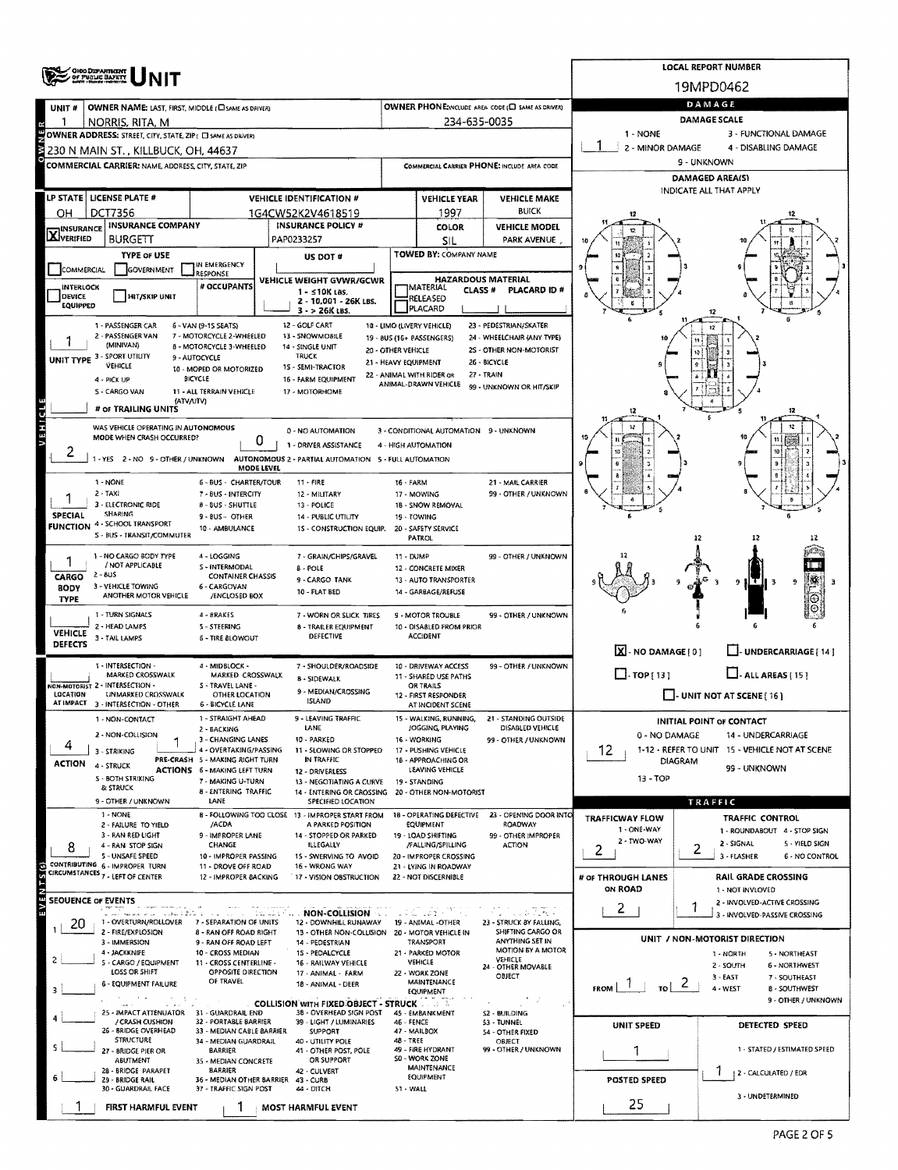| ORIO DEPARTMENT<br>OF PUBLIC BAFETY                                                                                                                                 | <b>LOCAL REPORT NUMBER</b>                                    |                                                 |                                                            |                                                   |                                                           |  |  |  |  |  |
|---------------------------------------------------------------------------------------------------------------------------------------------------------------------|---------------------------------------------------------------|-------------------------------------------------|------------------------------------------------------------|---------------------------------------------------|-----------------------------------------------------------|--|--|--|--|--|
|                                                                                                                                                                     |                                                               |                                                 |                                                            |                                                   | 19MPD0462                                                 |  |  |  |  |  |
| OWNER NAME: LAST, FIRST, MIDDLE (CISAME AS DRIVER)<br>UNIT#                                                                                                         |                                                               |                                                 | OWNER PHONE: INCLUDE AREA CODE (E) SAME AS DRIVER)         | DAMAGE                                            |                                                           |  |  |  |  |  |
| NORRIS, RITA, M                                                                                                                                                     |                                                               | 234-635-0035                                    |                                                            | DAMAGE SCALE<br>1 - NONE<br>3 - FUNCTIONAL DAMAGE |                                                           |  |  |  |  |  |
| OWNER ADDRESS: STREET, CITY, STATE, ZIP ( C SAME AS DRIVER)<br>2 - MINOR DAMAGE<br>4 - DISABLING DAMAGE<br>230 N MAIN ST. , KILLBUCK, OH, 44637                     |                                                               |                                                 |                                                            |                                                   |                                                           |  |  |  |  |  |
| <b>COMMERCIAL CARRIER: NAME, ADDRESS, CITY, STATE, ZIP</b>                                                                                                          |                                                               |                                                 | COMMERCIAL CARRIER PHONE: INCLUDE AREA CODE                | 9 - UNKNOWN                                       |                                                           |  |  |  |  |  |
|                                                                                                                                                                     |                                                               |                                                 |                                                            | DAMAGED AREA(S)<br>INDICATE ALL THAT APPLY        |                                                           |  |  |  |  |  |
| LP STATE   LICENSE PLATE #<br><b>VEHICLE IDENTIFICATION #</b>                                                                                                       |                                                               | <b>VEHICLE YEAR</b>                             | <b>VEHICLE MAKE</b>                                        |                                                   |                                                           |  |  |  |  |  |
| <b>DCT7356</b><br>OH.<br>1G4CW52K2V4618519<br><b>INSURANCE COMPANY</b><br><b>INSURANCE POLICY #</b>                                                                 |                                                               | 1997<br><b>COLOR</b>                            | <b>BUICK</b><br><b>VEHICLE MODEL</b>                       |                                                   |                                                           |  |  |  |  |  |
| <b>X</b> INSURANCE<br><b>BURGETT</b><br>PAP0233257                                                                                                                  |                                                               | SIL                                             | PARK AVENUE                                                |                                                   |                                                           |  |  |  |  |  |
| <b>TYPE OF USE</b><br>US DOT #<br>IN EMERGENCY                                                                                                                      |                                                               | TOWED BY: COMPANY NAME                          |                                                            |                                                   |                                                           |  |  |  |  |  |
| GOVERNMENT<br>COMMERCIAL<br>RESPONSE<br>VEHICLE WEIGHT GVWR/GCWR                                                                                                    |                                                               | <b>HAZARDOUS MATERIAL</b>                       |                                                            |                                                   |                                                           |  |  |  |  |  |
| # OCCUPANTS<br>INTERLOCK<br>1 - ≤10K LBS.<br><b>DEVICE</b><br>HIT/SKIP UNIT<br>2 - 10,001 - 26K LBS.                                                                | <b>MATERIAL</b><br><b>CLASS #</b><br>PLACARD ID #<br>RELEASEO |                                                 |                                                            |                                                   |                                                           |  |  |  |  |  |
| <b>EQUIPPED</b><br>$3 - 26K$ LBS.                                                                                                                                   |                                                               | PLACARD                                         |                                                            |                                                   |                                                           |  |  |  |  |  |
| 12 - GOLF CART<br>1 - PASSENGER CAR<br>6 - VAN (9-15 SEATS)<br>2 - PASSENGER VAN<br>7 - MOTORCYCLE 2-WHEELED<br>13 - SNOWMOBILE                                     | 18 - LIMO (LIVERY VEHICLE)<br>19 - BUS (16+ PASSENGERS)       |                                                 | 23 - PEDESTRIAN/SKATER<br>24 - WHEELCHAIR (ANY TYPE)       |                                                   |                                                           |  |  |  |  |  |
| (MINIVAN)<br><b>B - MOTORCYCLE 3-WHEELED</b><br>14 - SINGLE UNIT<br>UNIT TYPE 3 - SPORT UTILITY<br><b>TRUCK</b><br>9 - AUTOCYCLE                                    | 20 - OTHER VEHICLE                                            |                                                 | 2S - OTHER NON-MOTORIST                                    |                                                   |                                                           |  |  |  |  |  |
| <b>VEHICLE</b><br>1S - SEMI-TRACTOR<br>10 - MOPED OR MOTORIZED<br><b>BICYCLE</b><br>4 - PICK UP<br>16 - FARM EQUIPMENT                                              | 21 - HEAVY EQUIPMENT<br>22 - ANIMAL WITH RIDER OR             |                                                 | 26 - BICYCLE<br>27 - TRAIN                                 |                                                   |                                                           |  |  |  |  |  |
| S - CARGO VAN<br>11 - ALL TERRAIN VEHICLE<br>17 - MOTORHOME                                                                                                         |                                                               | ANIMAL-DRAWN VEHICLE                            | 99 - UNKNOWN OR HIT/SKIP                                   |                                                   |                                                           |  |  |  |  |  |
| (ATV/UTV)<br># of TRAILING UNITS                                                                                                                                    |                                                               |                                                 |                                                            | 12                                                | 12                                                        |  |  |  |  |  |
| AEHICIE<br>WAS VEHICLE OPERATING IN AUTONOMOUS<br>0 - NO AUTOMATION                                                                                                 |                                                               | 3 - CONDITIONAL AUTOMATION 9 - UNKNOWN          |                                                            | 12                                                | 12                                                        |  |  |  |  |  |
| MODE WHEN CRASH OCCURRED?<br>0<br>1 - DRIVER ASSISTANCE                                                                                                             | 4 - HIGH AUTOMATION                                           |                                                 |                                                            |                                                   |                                                           |  |  |  |  |  |
| AUTONOMOUS 2 - PARTIAL AUTOMATION 5 - FULL AUTOMATION<br>1-YES 2-NO 9-OTHER/UNKNOWN<br>MODE LEVEL                                                                   |                                                               |                                                 |                                                            |                                                   |                                                           |  |  |  |  |  |
| 1 - NONE<br><b>6 - BUS - CHARTER/TOUR</b><br>$11 -$ FIRE                                                                                                            | 16 - FARM                                                     |                                                 | 21 - MAIL CARRIER                                          |                                                   |                                                           |  |  |  |  |  |
| $2 - TAXI$<br>7 - BUS - INTERCITY<br>12 - MILITARY<br>3 - ELECTRONIC RIDE<br><b>8 - BUS - SHUTTLE</b><br>13 - POLICE                                                |                                                               | 17 - MOWING<br>1B - SNOW REMOVAL                | 99 - OTHER / UNKNOWN                                       |                                                   |                                                           |  |  |  |  |  |
| SHARING<br>SPECIAL<br>9 - BUS - OTHER<br>14 - PUBLIC UTILITY<br><b>FUNCTION 4 - SCHOOL TRANSPORT</b><br>10 - AMBULANCE<br>15 - CONSTRUCTION EQUIP.                  |                                                               | 19 - TOWING<br>20 - SAFETY SERVICE              |                                                            |                                                   |                                                           |  |  |  |  |  |
| S - BUS - TRANSIT/COMMUTER                                                                                                                                          |                                                               | PATROL                                          |                                                            |                                                   | 12                                                        |  |  |  |  |  |
| 1 - NO CARGO BODY TYPE<br>4 - LOGGING<br>7 - GRAIN/CHIPS/GRAVEL<br>/ NOT APPLICABLE<br>S - INTERMODAL                                                               | $11 - DUMP$                                                   |                                                 | 99 - OTHER / UNKNOWN                                       |                                                   |                                                           |  |  |  |  |  |
| 8 - POLE<br>$2 - 8US$<br><b>CONTAINER CHASSIS</b><br>CARGO<br>9 - CARGO TANK<br>3 - VEHICLE TOWING<br>6 - CARGOVAN                                                  |                                                               | 12 - CONCRETE MIXER<br>13 - AUTO TRANSPORTER    |                                                            |                                                   | 9                                                         |  |  |  |  |  |
| <b>BODY</b><br>10 - FLAT BED<br>ANOTHER MOTOR VEHICLE<br>/ENCLOSED BOX<br><b>TYPE</b>                                                                               |                                                               | 14 - GARBAGE/REFUSE                             |                                                            |                                                   |                                                           |  |  |  |  |  |
| 1 - TURN SIGNALS<br>4 - BRAKES<br>7 - WORN OR SLICK TIRES                                                                                                           |                                                               | 9 - MOTOR TROUBLE                               | 99 - OTHER / UNKNOWN                                       |                                                   |                                                           |  |  |  |  |  |
| 2 - HEAD LAMPS<br>5 - STEERING<br><b>8 - TRAILER EQUIPMENT</b><br><b>VEHICLE</b><br><b>DEFECTIVE</b><br>3 - TAIL LAMPS<br><b>6 - TIRE BLOWOUT</b><br><b>DEFECTS</b> |                                                               | 10 - DISABLED FROM PRIOR<br><b>ACCIDENT</b>     |                                                            |                                                   |                                                           |  |  |  |  |  |
|                                                                                                                                                                     |                                                               |                                                 |                                                            | $X - NO$ DAMAGE [ 0 ]                             | J- UNDERCARRIAGE [ 14 ]                                   |  |  |  |  |  |
| 1 - INTERSECTION -<br>4 - MIDBLOCK -<br>7 - SHOULDER/ROADSIDE<br>MARKED CROSSWALK<br>MARKED CROSSWALX<br><b>B - SIDEWALK</b>                                        |                                                               | 10 - DRIVEWAY ACCESS<br>11 - SHARED USE PATHS   | 99 - OTHER / UNKNOWN                                       | $\Box$ TOP [13]                                   | $\Box$ - ALL AREAS [ 15 ]                                 |  |  |  |  |  |
| ION-MOTORIST 2 - INTERSECTION -<br>S - TRAVEL LANE -<br>9 - MEDIAN/CROSSING<br>LOCATION<br>UNMARKED CROSSWALK<br>OTHER LOCATION<br><b>ISLAND</b>                    |                                                               | OR TRAILS<br>12 - FIRST RESPONDER               |                                                            |                                                   | $\Box$ - UNIT NOT AT SCENE [16]                           |  |  |  |  |  |
| AT IMPACT 3 - INTERSECTION - OTHER<br><b>6 - BICYCLE LANE</b><br>1 - NON-CONTACT<br>1 - STRAIGHT AHEAD<br>LEAVING TRAFFIC                                           |                                                               | AT INCIDENT SCENE<br>· WALKING, RUNNING,        | 21 - STANDING OUTSIDE                                      |                                                   |                                                           |  |  |  |  |  |
| LANE<br>2 - BACKING<br>2 - NON-COLLISION<br>10 - PARKED                                                                                                             |                                                               | JOGGING, PLAYING                                | DISABLED VEHICLE                                           | 0 - NO DAMAGE                                     | INITIAL POINT OF CONTACT<br>14 - UNDERCARRIAGE            |  |  |  |  |  |
| 3 - CHANGING LANES<br>4<br>4 - OVERTAKING/PASSING<br>11 - SLOWING OR STOPPED<br>3 - STRIKING                                                                        |                                                               | 16 - WORKING<br>17 - PUSHING VEHICLE            | 99 - OTHER / UNKNOWN                                       | 12                                                | 1-12 - REFER TO UNIT 15 - VEHICLE NOT AT SCENE            |  |  |  |  |  |
| PRE-CRASH 5 - MAKING RIGHT TURN<br>IN TRAFFIC<br>ACTION<br>4 - STRUCK<br><b>ACTIONS 6 - MAKING LEFT TURN</b><br>12 - DRIVERLESS                                     |                                                               | 18 - APPROACHING OR<br>LEAVING VEHICLE          |                                                            | <b>DIAGRAM</b><br>99 - UNKNOWN                    |                                                           |  |  |  |  |  |
| S - BOTH STRIKING<br>7 - MAKING U-TURN<br>13 - NEGOTIATING A CURVE<br><b>&amp; STRUCK</b><br>8 - ENTERING TRAFFIC<br>14 - ENTERING OR CROSSING                      |                                                               | 19 - STANDING<br>20 - OTHER NON-MOTORIST        |                                                            | 13 - TOP                                          |                                                           |  |  |  |  |  |
| 9 - OTHER / UNKNOWN<br>LANE<br>SPECIFIED LOCATION                                                                                                                   |                                                               |                                                 |                                                            |                                                   | TRAFFIC                                                   |  |  |  |  |  |
| 1 - NONE<br>8 - FOLLOWING TOO CLOSE 13 - IMPROPER START FROM<br>/ACDA<br>A PARKED POSITION<br>2 - FAILURE TO YIELD                                                  |                                                               | <b>EQUIPMENT</b>                                | 18 - OPERATING DEFECTIVE 23 - OPENING DOOR INTO<br>ROADWAY | TRAFFICWAY FLOW<br>1 - ONE-WAY                    | TRAFFIC CONTROL<br>1 - ROUNDABOUT 4 - STOP SIGN           |  |  |  |  |  |
| 3 - RAN RED LIGHT<br>9 - IMPROPER LANE<br>14 - STOPPED OR PARKED<br>4 - RAN STOP SIGN<br>CHANGE<br>ILLEGALLY<br>8                                                   |                                                               | 19 - LOAD SHIFTING<br>/FALLING/SPILLING         | 99 - OTHER IMPROPER<br><b>ACTION</b>                       | 2 - TWO-WAY<br>2                                  | 2 - SIGNAL<br>5 - YIELD SIGN<br>2                         |  |  |  |  |  |
| 5 - UNSAFE SPEED<br>10 - IMPROPER PASSING<br>15 - SWERVING TO AVOID<br>CONTRIBUTING 6 - IMPROPER TURN<br>16 - WRONG WAY<br>11 - DROVE OFF ROAD                      |                                                               | 20 - IMPROPER CROSSING<br>21 - LYING IN ROADWAY |                                                            |                                                   | 3 - FLASHER<br>6 - NO CONTROL                             |  |  |  |  |  |
| CIRCUMSTANCES 7 - LEFT OF CENTER<br>12 - IMPROPER BACKING<br>17 - VISION OBSTRUCTION                                                                                |                                                               | 22 - NOT DISCERNIBLE                            |                                                            | # OF THROUGH LANES<br>ON ROAD                     | RAIL GRADE CROSSING<br>1 - NOT INVLOVED                   |  |  |  |  |  |
| SEQUENCE OF EVENTS                                                                                                                                                  |                                                               |                                                 |                                                            |                                                   | 2 - INVOLVED-ACTIVE CROSSING<br>1                         |  |  |  |  |  |
| EV<br>NON-COLLISION<br>ila kirik<br>1 - OVERTURN/ROLLOVER<br>7 - SEPARATION OF UNITS<br>12 - DOWNHILL RUNAWAY<br>20                                                 |                                                               | 化氯化物 化磷基化<br>19 - ANIMAL -OTHER                 | 17. II. I<br>23 - STRUCK BY FALLING,                       | $\mathbf{2}$                                      | 3 - INVOLVED-PASSIVE CROSSING                             |  |  |  |  |  |
| 2 - FIRE/EXPLOSION<br>8 - RAN OFF ROAD RIGHT<br>13 - OTHER NON-COLLISION 20 - MOTOR VEHICLE IN<br>3 - IMMERSION<br>9 - RAN OFF ROAD LEFT<br>14 - PEDESTRIAN         |                                                               | TRANSPORT                                       | SHIFTING CARGO OR<br>ANYTHING SET IN                       |                                                   | UNIT / NON-MOTORIST DIRECTION                             |  |  |  |  |  |
| 4 - JACKKNIFE<br>10 - CROSS MEDIAN<br>15 - PEDALCYCLE<br>5 - CARGO / EQUIPMENT<br>11 - CROSS CENTERLINE -<br>16 - RAILWAY VEHICLE                                   |                                                               | 21 - PARKED MOTOR<br><b>VEHICLE</b>             | MOTION BY A MOTOR<br>VEHICLE                               |                                                   | 1 - NORTH<br><b>S-NORTHEAST</b>                           |  |  |  |  |  |
| LOSS OR SHIFT<br>OPPOSITE DIRECTION<br>17 - ANIMAL - FARM<br>OF TRAVEL                                                                                              |                                                               | 22 - WORK ZONE<br>MAINTENANCE                   | 24 - OTHER MOVABLE<br>OBJECT                               |                                                   | 2 - SOUTH<br>6 - NORTHWEST<br>$3 - EAST$<br>7 - SOUTHEAST |  |  |  |  |  |
| 6 - EQUIPMENT FAILURE<br>18 - ANIMAL - DEER                                                                                                                         |                                                               | <b>EQUIPMENT</b>                                |                                                            | $\sim$<br><b>FROM</b><br>τoΙ                      | 4 - WEST<br><b>8 - SOUTHWEST</b><br>9 - OTHER / UNKNOWN   |  |  |  |  |  |
| <b>COLLISION WITH FIXED OBJECT - STRUCK AND THE</b><br>$\alpha = 0.15$<br>38 - OVERHEAD SIGN POST<br>25 - IMPACT ATTÉNUATOR<br>31 - GUARDRAIL END                   |                                                               | 45 - EMBANKMENT                                 | 52 - BUILDING                                              |                                                   |                                                           |  |  |  |  |  |
| / CRASH CUSHION<br>32 - PORTABLE BARRIER<br>39 - LIGHT / LUMINARIES<br>26 - BRIDGE OVERHEAD<br>33 - MEDIAN CABLE BARRIER<br><b>SUPPORT</b>                          | 46 - FENCE                                                    | 47 - MAILBOX                                    | 53 - TUNNEL<br>54 - OTHER FIXED                            | UNIT SPEED                                        | DETECTED SPEED                                            |  |  |  |  |  |
| STRUCTURE<br>34 - MEDIAN GUARDRAIL<br>40 - UTILITY POLE<br>27 - BRIDGE PIER OR<br><b>BARRIER</b><br>41 - OTHER POST, POLE                                           | 48 - TREE                                                     | 49 - FIRE HYDRANT                               | OBJECT<br>99 - OTHER / UNKNOWN                             |                                                   | 1 - STATED / ESTIMATED SPEED                              |  |  |  |  |  |
| OR SUPPORT<br>ABUTMENT<br>35 - MEDIAN CONCRETE<br>28 - BRIDGE PARAPET<br><b>BARRIER</b><br>42 - CULVERT                                                             |                                                               | SO - WORK ZONE<br>MAINTENANCE                   |                                                            |                                                   | 2 - CALCULATED / EDR                                      |  |  |  |  |  |
| 29 - BRIDGE RAIL<br>36 - MEDIAN OTHER BARRIER<br>43 - CURB<br>30 - GUARDRAIL FACE<br>37 - TRAFFIC SIGN POST<br>44 - DITCH                                           | 51 - WALL                                                     | EQUIPMENT                                       |                                                            | POSTED SPEED                                      |                                                           |  |  |  |  |  |
| FIRST HARMFUL EVENT<br>MOST HARMFUL EVENT                                                                                                                           |                                                               |                                                 |                                                            | 25                                                | 3 - UNDETERMINED                                          |  |  |  |  |  |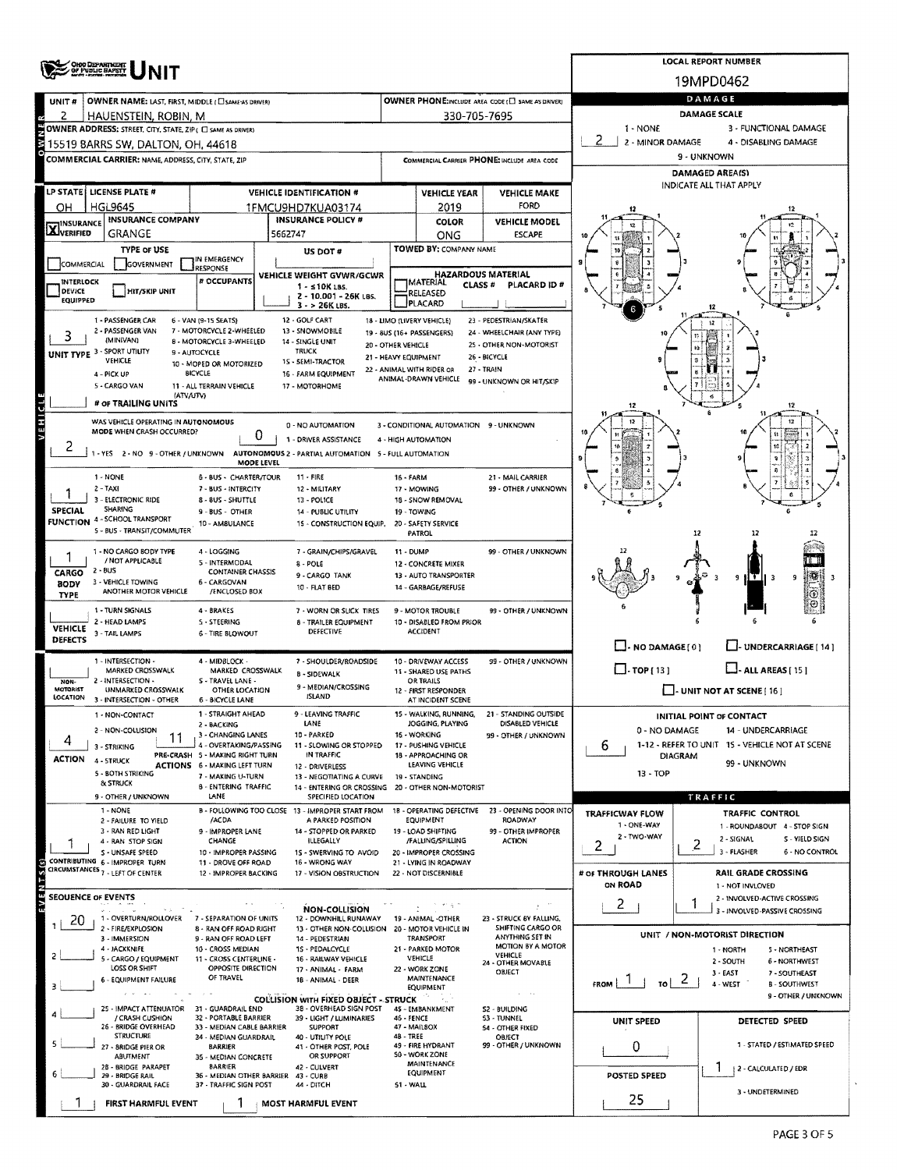|                                                                                                            | OHOO DEPARTMENT<br>OF PUBLIC BAPETY                                                                                                                                     |                                                                        | <b>LOCAL REPORT NUMBER</b>                       |                                                                         |                                                              |                                                   |                                                       |                                                                        |                                                  |                                       |  |  |  |  |
|------------------------------------------------------------------------------------------------------------|-------------------------------------------------------------------------------------------------------------------------------------------------------------------------|------------------------------------------------------------------------|--------------------------------------------------|-------------------------------------------------------------------------|--------------------------------------------------------------|---------------------------------------------------|-------------------------------------------------------|------------------------------------------------------------------------|--------------------------------------------------|---------------------------------------|--|--|--|--|
|                                                                                                            |                                                                                                                                                                         |                                                                        | 19MPD0462                                        |                                                                         |                                                              |                                                   |                                                       |                                                                        |                                                  |                                       |  |  |  |  |
| OWNER NAME: LAST, FIRST, MIDDLE (CI SAME AS DRIVER)<br>UNIT#                                               |                                                                                                                                                                         |                                                                        |                                                  |                                                                         |                                                              |                                                   | OWNER PHONE: INCLUDE AREA CODE (E) SAME AS DRIVER!    | DAMAGE                                                                 |                                                  |                                       |  |  |  |  |
| 2                                                                                                          | HAUENSTEIN, ROBIN, M                                                                                                                                                    |                                                                        |                                                  |                                                                         |                                                              | 330-705-7695                                      |                                                       | <b>DAMAGE SCALE</b>                                                    |                                                  |                                       |  |  |  |  |
|                                                                                                            | OWNER ADDRESS: STREET, CITY, STATE, ZIP ( C) SAME AS DRIVER)                                                                                                            |                                                                        |                                                  | 1 - NONE                                                                |                                                              | 3 - FUNCTIONAL DAMAGE                             |                                                       |                                                                        |                                                  |                                       |  |  |  |  |
|                                                                                                            | 15519 BARRS SW, DALTON, OH, 44618                                                                                                                                       |                                                                        |                                                  |                                                                         |                                                              |                                                   |                                                       | 2 - MINOR DAMAGE                                                       | 4 - DISABLING DAMAGE<br>9 - UNKNOWN              |                                       |  |  |  |  |
|                                                                                                            | COMMERCIAL CARRIER: NAME, ADDRESS, CITY, STATE, ZIP                                                                                                                     |                                                                        |                                                  |                                                                         | COMMERCIAL CARRIER PHONE: INCLUDE AREA CODE                  |                                                   |                                                       | DAMAGED AREA(S)                                                        |                                                  |                                       |  |  |  |  |
|                                                                                                            |                                                                                                                                                                         |                                                                        |                                                  |                                                                         |                                                              |                                                   |                                                       |                                                                        | INDICATE ALL THAT APPLY                          |                                       |  |  |  |  |
| LP STATE   LICENSE PLATE #<br><b>VEHICLE IDENTIFICATION #</b><br><b>HGL9645</b><br>OН<br>1FMCU9HD7KUA03174 |                                                                                                                                                                         |                                                                        |                                                  |                                                                         |                                                              | <b>VEHICLE YEAR</b><br>2019                       | <b>VEHICLE MAKE</b><br>FORD                           |                                                                        |                                                  |                                       |  |  |  |  |
| <b>INSURANCE COMPANY</b><br><b>INSURANCE POLICY #</b>                                                      |                                                                                                                                                                         |                                                                        |                                                  |                                                                         |                                                              | COLOR                                             | <b>VEHICLE MODEL</b>                                  |                                                                        |                                                  |                                       |  |  |  |  |
| <b>X</b> INSURANCE                                                                                         | GRANGE                                                                                                                                                                  |                                                                        | 5662747                                          |                                                                         |                                                              | ONG                                               | <b>ESCAPE</b>                                         |                                                                        |                                                  |                                       |  |  |  |  |
|                                                                                                            | <b>TYPE OF USE</b>                                                                                                                                                      | IN EMERGENCY                                                           | US DOT #                                         |                                                                         |                                                              | <b>TOWED BY: COMPANY NAME</b>                     |                                                       |                                                                        |                                                  |                                       |  |  |  |  |
| COMMERCIAL                                                                                                 | GOVERNMENT                                                                                                                                                              | <b>ESPONSE</b>                                                         | VEHICLE WEIGHT GVWR/GCWR                         |                                                                         |                                                              | <b>HAZARDOUS MATERIAL</b>                         |                                                       |                                                                        |                                                  |                                       |  |  |  |  |
| INTERLOCK<br>DEVICE                                                                                        | <b>HIT/SKIP UNIT</b>                                                                                                                                                    | # OCCUPANTS                                                            | $1 - 510K$ LBS.                                  |                                                                         |                                                              | <b>IMATERIAL</b><br><b>CLASS#</b><br>RELEASED     | PLACARD ID #                                          |                                                                        |                                                  |                                       |  |  |  |  |
| <b>EQUIPPED</b>                                                                                            |                                                                                                                                                                         |                                                                        | $3 - 26K$ LBS.                                   | 2 - 10.001 - 26K LBS.                                                   |                                                              | PLACARD                                           |                                                       |                                                                        |                                                  |                                       |  |  |  |  |
|                                                                                                            | 1 - PASSENGER CAR                                                                                                                                                       | 6 - VAN (9-15 SEATS)                                                   | 12 - GOLF CART                                   |                                                                         |                                                              | 18 - LIMO (LIVERY VEHICLE)                        | 23 - PEDESTRIAN/SKATER                                |                                                                        | 12                                               |                                       |  |  |  |  |
|                                                                                                            | 2 - PASSENGER VAN<br>(MINIVAN)                                                                                                                                          | 7 - MOTORCYCLE 2-WHEELED<br>8 - MOTORCYCLE 3-WHEELED                   | 13 - SNOWMOBILE<br>14 - SINGLE UNIT              | 20 - OTHER VEHICLE                                                      |                                                              | 19 - 8US (16+ PASSENGERS)                         | 24 - WHEELCHAIR (ANY TYPE)<br>25 - OTHER NON-MOTORIST |                                                                        |                                                  |                                       |  |  |  |  |
|                                                                                                            | UNIT TYPE 3 - SPORT UTILITY<br>VEHICLE                                                                                                                                  | 9 - AUTOCYCLE                                                          | <b>TRUCK</b>                                     | 21 - HEAVY EQUIPMENT                                                    |                                                              |                                                   | 26 - BICYCLE                                          |                                                                        |                                                  |                                       |  |  |  |  |
|                                                                                                            | 4 - PICK UP                                                                                                                                                             | 10 - MOPED OR MOTORIZED<br><b>BICYCLE</b>                              | 1S - SEMI-TRACTOR<br>16 - FARM EQUIPMENT         |                                                                         |                                                              | 22 - ANIMAL WITH RIDER OR<br>ANIMAL-DRAWN VEHICLE | 27 - TRAIN                                            |                                                                        |                                                  |                                       |  |  |  |  |
|                                                                                                            | 5 - CARGO VAN<br>(ATV/UTV)                                                                                                                                              | 11 - ALL TERRAIN VEHICLE                                               | 17 - MOTORHOME                                   |                                                                         |                                                              |                                                   | 99 - UNKNOWN OR HIT/SKIP                              |                                                                        |                                                  |                                       |  |  |  |  |
|                                                                                                            | # OF TRAILING UNITS                                                                                                                                                     |                                                                        |                                                  |                                                                         |                                                              |                                                   |                                                       |                                                                        |                                                  | 12                                    |  |  |  |  |
| VEHICL                                                                                                     | WAS VEHICLE OPERATING IN AUTONOMOUS                                                                                                                                     |                                                                        | 0 - NO AUTOMATION                                |                                                                         |                                                              | 3 - CONDITIONAL AUTOMATION 9 - UNKNOWN            |                                                       |                                                                        |                                                  |                                       |  |  |  |  |
|                                                                                                            | MODE WHEN CRASH OCCURRED?                                                                                                                                               | 0                                                                      | 1 - DRIVER ASSISTANCE                            |                                                                         |                                                              | 4 - HIGH AUTOMATION                               |                                                       |                                                                        |                                                  |                                       |  |  |  |  |
| 2                                                                                                          | 1 - YES 2 - NO 9 - OTHER / UNKNOWN AUTONOMOUS 2 - PARTIAL AUTOMATION 5 - FULL AUTOMATION                                                                                | MODE LEVEL                                                             |                                                  |                                                                         |                                                              |                                                   |                                                       |                                                                        |                                                  |                                       |  |  |  |  |
|                                                                                                            | 1 - NONE                                                                                                                                                                | 6 - BUS - CHARTER/TOUR                                                 | $11 - FIRE$                                      |                                                                         | 16 - FARM                                                    |                                                   | 21 - MAIL CARRIER                                     |                                                                        |                                                  |                                       |  |  |  |  |
|                                                                                                            | $2 - TAXI$                                                                                                                                                              | 7 - BUS - INTERCITY                                                    | 12 - MILITARY                                    |                                                                         |                                                              | 17 - MOWING                                       | 99 - OTHER / UNKNOWN                                  |                                                                        |                                                  |                                       |  |  |  |  |
| <b>SPECIAL</b>                                                                                             | 3 - ELECTRONIC RIDE<br><b>SHARING</b>                                                                                                                                   | 8 - BUS - SHUTTLE                                                      | 13 - POLICE                                      |                                                                         | 19 - TOWING                                                  | 18 - SNOW REMOVAL                                 |                                                       |                                                                        |                                                  |                                       |  |  |  |  |
|                                                                                                            | 9 - BUS - OTHER<br>14 - PUBLIC UTILITY<br><b>FUNCTION 4 - SCHOOL TRANSPORT</b><br>10 - AMBULANCE<br>15 - CONSTRUCTION EQUIP,                                            |                                                                        |                                                  |                                                                         |                                                              | 20 - SAFETY SERVICE                               |                                                       |                                                                        |                                                  |                                       |  |  |  |  |
|                                                                                                            | 5 - BUS - TRANSIT/COMMUTER                                                                                                                                              |                                                                        |                                                  |                                                                         |                                                              | <b>PATROL</b>                                     |                                                       |                                                                        | 12<br>12                                         |                                       |  |  |  |  |
|                                                                                                            | 1 - NO CARGO BODY TYPE<br>/ NOT APPLICABLE                                                                                                                              | 4 - LOGGING<br><b>S-INTERMODAL</b>                                     | 8 - POLE                                         | 7 - GRAIN/CHIPS/GRAVEL                                                  | 11 - DUMP                                                    |                                                   | 99 - OTHER / UNKNOWN                                  |                                                                        |                                                  |                                       |  |  |  |  |
| CARGO                                                                                                      | $2 - BUS$                                                                                                                                                               | <b>CONTAINER CHASSIS</b>                                               | 9 - CARGO TANK                                   |                                                                         |                                                              | 12 - CONCRETE MIXER<br>13 - AUTO TRANSPORTER      |                                                       |                                                                        | ITII 3<br>g                                      | 9                                     |  |  |  |  |
| BODY<br><b>TYPE</b>                                                                                        | 3 - VEHICLE TOWING<br>ANOTHER MOTOR VEHICLE                                                                                                                             | 6 - CARGOVAN<br>/ENCLOSED BOX                                          | 10 - FLAT BED                                    |                                                                         |                                                              | 14 - GARBAGE/REFUSE                               |                                                       |                                                                        |                                                  |                                       |  |  |  |  |
|                                                                                                            | 1 - TURN SIGNALS                                                                                                                                                        | 4 - BRAKES                                                             |                                                  | 7 - WORN OR SLICK TIRES                                                 |                                                              | 9 - MOTOR TROUBLE                                 | 99 - OTHER / UNKNOWN                                  |                                                                        |                                                  |                                       |  |  |  |  |
| <b>VEHICLE</b>                                                                                             | 2 - HEAD LAMPS                                                                                                                                                          | 5 - STEERING                                                           |                                                  | 8 - TRAILER EQUIPMENT<br><b>DEFECTIVE</b>                               |                                                              | 10 - DISABLED FROM PRIOR<br><b>ACCIDENT</b>       |                                                       |                                                                        |                                                  |                                       |  |  |  |  |
| <b>DEFECTS</b>                                                                                             | 3 - TAIL LAMPS                                                                                                                                                          | 6 - TIRE BLOWOUT                                                       |                                                  |                                                                         |                                                              |                                                   |                                                       | $\Box$ - NO DAMAGE(0)                                                  |                                                  | F-UNDERCARRIAGE [ 14 ]                |  |  |  |  |
|                                                                                                            | 1 - INTERSECTION -                                                                                                                                                      | 4 - MIDBLOCK -                                                         |                                                  | 7 - SHOULDER/ROADSIDE                                                   |                                                              | 10 - DRIVEWAY ACCESS                              | 99 - OTHER / UNKNOWN                                  |                                                                        |                                                  |                                       |  |  |  |  |
|                                                                                                            | $\Box$ -TOP(13)<br>MARKED CROSSWALK<br>MARKED CROSSWALK<br>11 - SHARED USE PATHS<br><b>B - SIDEWALK</b><br>2 - INTERSECTION -<br>S - TRAVEL LANE -<br>OR TRAILS<br>NON- |                                                                        |                                                  |                                                                         |                                                              |                                                   | $\Box$ - ALL AREAS (15)                               |                                                                        |                                                  |                                       |  |  |  |  |
| MOTORIST<br>LOCATION                                                                                       | UNMARKED CROSSWALK                                                                                                                                                      | OTHER LOCATION                                                         | <b>ISLAND</b>                                    | 9 - MEDIAN/CROSSING                                                     |                                                              | 12 - FIRST RESPONDER                              |                                                       |                                                                        | $\Box$ - UNIT NOT AT SCENE [ 16 ]                |                                       |  |  |  |  |
|                                                                                                            | 3 - INTERSECTION - OTHER<br>1 - NON-CONTACT                                                                                                                             | <b>6 - BICYCLE LANE</b><br>1 - STRAIGHT AHEAD                          |                                                  | 9 - LEAVING TRAFFIC                                                     |                                                              | AT INCIDENT SCENE<br>15 - WALKING, RUNNING,       | - STANDING OUTSIDE                                    |                                                                        |                                                  |                                       |  |  |  |  |
|                                                                                                            | 2 - NON-COLLISION                                                                                                                                                       | 2 - BACKING                                                            | LANE                                             |                                                                         | JOGGING, PLAYING<br>DISABLED VEHICLE                         |                                                   |                                                       | <b>INITIAL POINT OF CONTACT</b><br>0 - NO DAMAGE<br>14 - UNDERCARRIAGE |                                                  |                                       |  |  |  |  |
|                                                                                                            | 11<br>3 - STRIKING                                                                                                                                                      | 3 - CHANGING LANES<br>4 - OVERTAKING/PASSING                           | 10 - PARKED                                      | 11 - SLOWING OR STOPPED                                                 | 16 - WORKING<br>99 - OTHER / UNKNOWN<br>17 - PUSHING VEHICLE |                                                   |                                                       | 1-12 - REFER TO UNIT 1S - VEHICLE NOT AT SCENE<br>6                    |                                                  |                                       |  |  |  |  |
| ACTION                                                                                                     | 4 - STRUCK                                                                                                                                                              | PRE-CRASH 5 - MAKING RIGHT TURN<br><b>ACTIONS 6 - MAKING LEFT TURN</b> | IN TRAFFIC<br>12 - DRIVERLESS                    |                                                                         |                                                              | 18 - APPROACHING OR<br>LEAVING VEHICLE            |                                                       |                                                                        | <b>DIAGRAM</b><br>99 - UNKNOWN                   |                                       |  |  |  |  |
|                                                                                                            | <b>5 - BOTH STRIKING</b><br>& STRUCK                                                                                                                                    | 7 - MAKING U-TURN                                                      |                                                  | 13 - NEGOTIATING A CURVE                                                |                                                              | 19 - STANDING                                     |                                                       | $13 - TOP$                                                             |                                                  |                                       |  |  |  |  |
|                                                                                                            | 9 - OTHER / UNKNOWN                                                                                                                                                     | <b>B - ENTERING TRAFFIC</b><br>LANE                                    |                                                  | SPECIFIED LOCATION                                                      |                                                              | 14 - ENTERING OR CROSSING 20 - OTHER NON-MOTORIST |                                                       | TRAFFIC                                                                |                                                  |                                       |  |  |  |  |
|                                                                                                            | 1 - NONE                                                                                                                                                                |                                                                        | 8 - FOLLOWING TOO CLOSE 13 - IMPROPER START FROM |                                                                         |                                                              | 1B - OPERATING DEFECTIVE                          | 23 - OPENING DOOR INTO                                | <b>TRAFFICWAY FLOW</b>                                                 | <b>TRAFFIC CONTROL</b>                           |                                       |  |  |  |  |
|                                                                                                            | 2 - FAILURE TO YIELD<br>3 - RAN RED LIGHT                                                                                                                               | /ACDA<br>9 - IMPROPER LANE                                             |                                                  | A PARKED POSITION<br>14 - STOPPED OR PARKED                             |                                                              | EQUIPMENT<br>19 - LOAD SHIFTING                   | ROADWAY<br>99 - OTHER IMPROPER                        | 1 - ONE-WAY                                                            | 1 - ROUNDABOUT 4 - STOP SIGN                     |                                       |  |  |  |  |
|                                                                                                            | 4 - RAN STOP SIGN                                                                                                                                                       | CHANGE                                                                 | ILLEGALLY                                        |                                                                         |                                                              | /FALLING/SPILLING                                 | <b>ACTION</b>                                         | 2 - TWO-WAY<br>2                                                       | 2 - SIGNAL<br>2                                  | S - YIELD SIGN                        |  |  |  |  |
|                                                                                                            | S - UNSAFE SPEED<br>CONTRIBUTING 6 - IMPROPER TURN                                                                                                                      | 10 - IMPROPER PASSING<br>11 - DROVE OFF ROAD                           | 16 - WRONG WAY                                   | 1S - SWERVING TO AVOID                                                  |                                                              | 20 - IMPROPER CROSSING<br>21 - LYING IN ROADWAY   |                                                       |                                                                        | 3 - FLASHER                                      | 6 - NO CONTROL                        |  |  |  |  |
|                                                                                                            | CIRCUMSTANCES 7 - LEFT OF CENTER                                                                                                                                        | 12 - IMPROPER BACKING                                                  |                                                  | 17 - VISION OBSTRUCTION                                                 |                                                              | 22 - NOT DISCERNIBLE                              |                                                       | # OF THROUGH LANES                                                     | RAIL GRADE CROSSING                              |                                       |  |  |  |  |
| <b>SEQUENCE OF EVENTS</b>                                                                                  |                                                                                                                                                                         |                                                                        |                                                  |                                                                         |                                                              |                                                   |                                                       | <b>ON ROAD</b>                                                         | 1 - NOT INVLOVED<br>2 - INVOLVED-ACTIVE CROSSING |                                       |  |  |  |  |
|                                                                                                            | 1 - OVERTURN/ROLLOVER                                                                                                                                                   | 7 - SEPARATION OF UNITS                                                |                                                  | NON-COLLISION                                                           |                                                              |                                                   | $\mathbf{v} \in \mathbb{R}^n$                         | 2                                                                      | 3 - INVOLVED-PASSIVE CROSSING                    |                                       |  |  |  |  |
| 20                                                                                                         | 2 - FIRE/EXPLOSION                                                                                                                                                      | 8 - RAN OFF ROAD RIGHT                                                 |                                                  | 12 - DOWNHILL RUNAWAY<br>13 - OTHER NON-COLLISION 20 - MOTOR VEHICLE IN |                                                              | 19 - ANIMAL -OTHER                                | 23 - STRUCK BY FALLING,<br>SHIFTING CARGO OR          |                                                                        | UNIT / NON-MOTORIST DIRECTION                    |                                       |  |  |  |  |
|                                                                                                            | 3 - IMMERSION<br>4 - JACKKNIFE                                                                                                                                          | 9 - RAN OFF ROAD LEFT<br>10 - CROSS MEDIAN                             | 14 - PEDESTRIAN<br>15 - PEDALCYCLE               |                                                                         |                                                              | TRANSPORT<br>21 - PARKED MOTOR                    | ANYTHING SET IN<br><b>MOTION BY A MOTOR</b>           |                                                                        | 1 - NORTH                                        | 5 - NORTHEAST                         |  |  |  |  |
|                                                                                                            | 5 - CARGO / EQUIPMENT                                                                                                                                                   | 11 - CROSS CENTERLINE -                                                |                                                  | 16 - RAILWAY VEHICLE                                                    |                                                              | VEHICLE                                           | VEHICLE<br>24 - OTHER MOVABLE                         |                                                                        | 2 - SOUTH                                        | 6 - NORTHWEST                         |  |  |  |  |
|                                                                                                            | LOSS OR SHIFT<br>6 - EQUIPMENT FAILURE                                                                                                                                  | OPPOSITE DIRECTION<br>OF TRAVEL                                        |                                                  | 17 - ANIMAL - FARM<br>18 - ANIMAL - DEER                                |                                                              | 22 - WORK ZONE<br>MAINTENANCE                     | OBJECT                                                | FROM<br>TO I                                                           | 3 - EAST<br>$\mathbf{Z}$<br>4 - WEST             | 7 - SOUTHEAST<br><b>B - SOUTHWEST</b> |  |  |  |  |
|                                                                                                            |                                                                                                                                                                         |                                                                        |                                                  | <b>COLLISION WITH FIXED OBJECT - STRUCK</b>                             |                                                              | EQUIPMENT                                         | $\alpha$ , and $\alpha$                               |                                                                        |                                                  | 9 - OTHER / UNKNOWN                   |  |  |  |  |
|                                                                                                            | 25 - IMPACT ATTENUATOR<br>/ CRASH CUSHION                                                                                                                               | 31 - GUARDRAIL END<br>32 - PORTABLE BARRIER                            |                                                  | 38 - OVERHEAD SIGN POST<br>39 - LIGHT / LUMINARIES                      | 46 - FENCE                                                   | 45 - EMBANKMENT                                   | S2 - BUILDING<br>53 - TUNNEL                          |                                                                        |                                                  |                                       |  |  |  |  |
|                                                                                                            | 26 - BRIDGE OVERHEAD                                                                                                                                                    | 33 - MEDIAN CABLE BARRIER                                              | <b>SUPPORT</b>                                   |                                                                         | 47 - MAILBOX                                                 |                                                   | <b>S4 - OTHER FIXED</b>                               | UNIT SPEED                                                             | DETECTED SPEED                                   |                                       |  |  |  |  |
|                                                                                                            | <b>STRUCTURE</b><br>- SRIDGE PIER OR                                                                                                                                    | 34 - MEDIAN GUARDRAIL<br><b>BARRIER</b>                                | 40 - UTILITY POLE                                | 41 - OTHER POST, POLE                                                   | 48 - TREE                                                    | 49 - FIRE HYDRANT                                 | OBJECT<br>99 - OTHER / UNKNOWN                        | 0                                                                      |                                                  | 1 - STATED / ESTIMATED SPEED          |  |  |  |  |
|                                                                                                            | <b>ABUTMENT</b><br>2B - BRIDGE PARAPET                                                                                                                                  | 35 - MEDIAN CONCRETE<br><b>BARRIER</b>                                 | 42 - CULVERT                                     | OR SUPPORT                                                              | 50 - WORK ZONE<br>MAINTENANCE                                |                                                   |                                                       |                                                                        |                                                  |                                       |  |  |  |  |
|                                                                                                            | 29 - BRIDGE RAIL                                                                                                                                                        | 36 - MEDIAN OTHER BARRIER 43 - CURB                                    |                                                  |                                                                         |                                                              | EQUIPMENT                                         |                                                       | POSTED SPEED                                                           | <b>12 - CALCULATED / EDR</b>                     |                                       |  |  |  |  |
|                                                                                                            | 30 - GUARDRAIL FACE<br>37 - TRAFFIC SIGN POST<br>44 - DITCH<br>51 - WALL                                                                                                |                                                                        |                                                  |                                                                         |                                                              |                                                   |                                                       |                                                                        | 3 - UNDETERMINED                                 |                                       |  |  |  |  |
|                                                                                                            | FIRST HARMFUL EVENT                                                                                                                                                     |                                                                        | MOST HARMFUL EVENT                               |                                                                         |                                                              |                                                   |                                                       | 25                                                                     |                                                  |                                       |  |  |  |  |